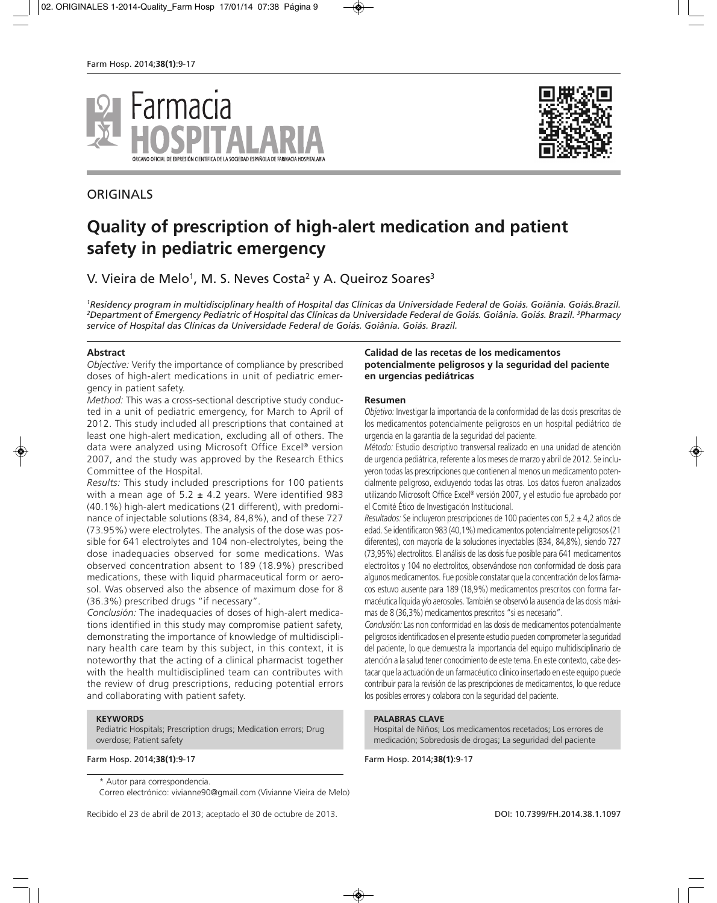

# ORIGINALS



# **Quality of prescription of high-alert medication and patient safety in pediatric emergency**

V. Vieira de Melo<sup>1</sup>, M. S. Neves Costa<sup>2</sup> y A. Queiroz Soares<sup>3</sup>

*1Residency program in multidisciplinary health of Hospital das Clínicas da Universidade Federal de Goiás. Goiânia. Goiás.Brazil. 2 Department of Emergency Pediatric of Hospital das Clínicas da Universidade Federal de Goiás. Goiânia. Goiás. Brazil. 3 Pharmacy service of Hospital das Clínicas da Universidade Federal de Goiás. Goiânia. Goiás. Brazil.*

#### **Abstract**

*Objective:* Verify the importance of compliance by prescribed doses of high-alert medications in unit of pediatric emergency in patient safety.

*Method:* This was a cross-sectional descriptive study conducted in a unit of pediatric emergency, for March to April of 2012. This study included all prescriptions that contained at least one high-alert medication, excluding all of others. The data were analyzed using Microsoft Office Excel® version 2007, and the study was approved by the Research Ethics Committee of the Hospital.

*Results:* This study included prescriptions for 100 patients with a mean age of  $5.2 \pm 4.2$  years. Were identified 983 (40.1%) high-alert medications (21 different), with predominance of injectable solutions (834, 84,8%), and of these 727 (73.95%) were electrolytes. The analysis of the dose was possible for 641 electrolytes and 104 non-electrolytes, being the dose inadequacies observed for some medications. Was observed concentration absent to 189 (18.9%) prescribed medications, these with liquid pharmaceutical form or aerosol. Was observed also the absence of maximum dose for 8 (36.3%) prescribed drugs "if necessary".

*Conclusión:* The inadequacies of doses of high-alert medications identified in this study may compromise patient safety, demonstrating the importance of knowledge of multidisciplinary health care team by this subject, in this context, it is noteworthy that the acting of a clinical pharmacist together with the health multidisciplined team can contributes with the review of drug prescriptions, reducing potential errors and collaborating with patient safety.

#### **KEYWORDS**

Pediatric Hospitals; Prescription drugs; Medication errors; Drug overdose; Patient safety

#### Farm Hosp. 2014;**38(1)**:9-17 Farm Hosp. 2014;**38(1)**:9-17

\* Autor para correspondencia.

Correo electrónico: vivianne90@gmail.com (Vivianne Vieira de Melo)

Recibido el 23 de abril de 2013; aceptado el 30 de octubre de 2013. DOI: 10.7399/FH.2014.38.1.1097

#### **Calidad de las recetas de los medicamentos potencialmente peligrosos y la seguridad del paciente en urgencias pediátricas**

#### **Resumen**

*Objetivo:* Investigar la importancia de la conformidad de las dosis prescritas de los medicamentos potencialmente peligrosos en un hospital pediátrico de urgencia en la garantía de la seguridad del paciente.

*Método:* Estudio descriptivo transversal realizado en una unidad de atención de urgencia pediátrica, referente a los meses de marzo y abril de 2012. Se incluyeron todas las prescripciones que contienen al menos un medicamento potencialmente peligroso, excluyendo todas las otras. Los datos fueron analizados utilizando Microsoft Office Excel® versión 2007, y el estudio fue aprobado por el Comité Ético de Investigación Institucional.

*Resultados:* Se incluyeron prescripciones de 100 pacientes con 5,2 ± 4,2 años de edad. Se identificaron 983 (40,1%) medicamentos potencialmente peligrosos (21 diferentes), con mayoría de la soluciones inyectables (834, 84,8%), siendo 727 (73,95%) electrolitos. El análisis de las dosis fue posible para 641 medicamentos electrolitos y 104 no electrolitos, observándose non conformidad de dosis para algunos medicamentos. Fue posible constatar que la concentración de los fármacos estuvo ausente para 189 (18,9%) medicamentos prescritos con forma farmacéutica líquida y/o aerosoles. También se observó la ausencia de las dosis máximas de 8 (36,3%) medicamentos prescritos "si es necesario".

*Conclusión:* Las non conformidad en las dosis de medicamentos potencialmente peligrosos identificados en el presente estudio pueden comprometer la seguridad del paciente, lo que demuestra la importancia del equipo multidisciplinario de atención a la salud tener conocimiento de este tema. En este contexto, cabe destacar que la actuación de un farmacéutico clínico insertado en este equipo puede contribuir para la revisión de las prescripciones de medicamentos, lo que reduce los posibles errores y colabora con la seguridad del paciente.

#### **PALABRAS CLAVE**

Hospital de Niños; Los medicamentos recetados; Los errores de medicación; Sobredosis de drogas; La seguridad del paciente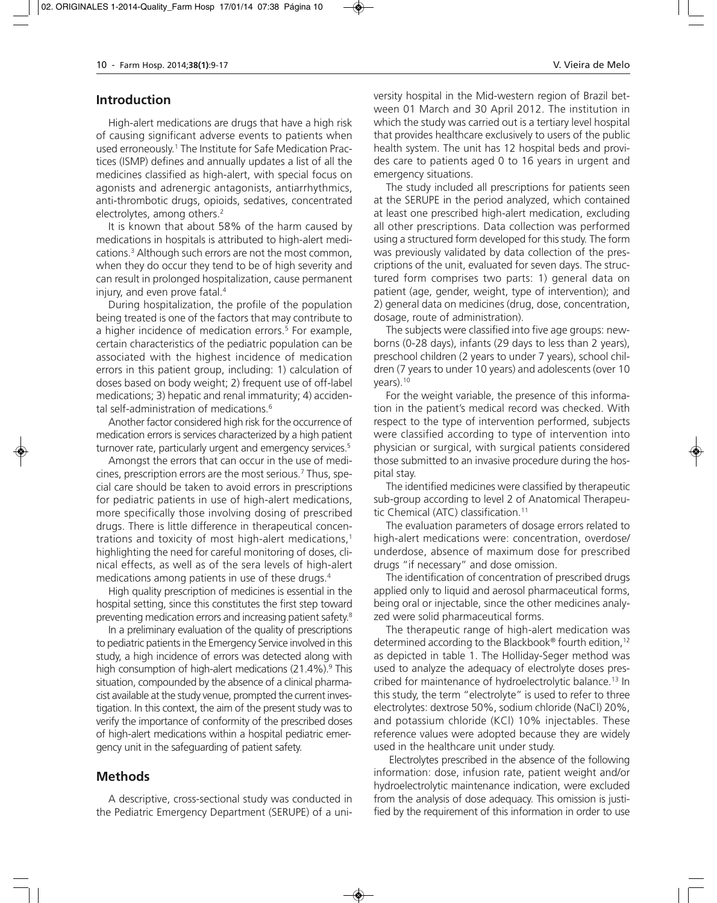### **Introduction**

High-alert medications are drugs that have a high risk of causing significant adverse events to patients when used erroneously.<sup>1</sup> The Institute for Safe Medication Practices (ISMP) defines and annually updates a list of all the medicines classified as high-alert, with special focus on agonists and adrenergic antagonists, antiarrhythmics, anti-thrombotic drugs, opioids, sedatives, concentrated electrolytes, among others.<sup>2</sup>

It is known that about 58% of the harm caused by medications in hospitals is attributed to high-alert medications.3 Although such errors are not the most common, when they do occur they tend to be of high severity and can result in prolonged hospitalization, cause permanent injury, and even prove fatal.<sup>4</sup>

During hospitalization, the profile of the population being treated is one of the factors that may contribute to a higher incidence of medication errors.<sup>5</sup> For example, certain characteristics of the pediatric population can be associated with the highest incidence of medication errors in this patient group, including: 1) calculation of doses based on body weight; 2) frequent use of off-label medications; 3) hepatic and renal immaturity; 4) accidental self-administration of medications.<sup>6</sup>

Another factor considered high risk for the occurrence of medication errors is services characterized by a high patient turnover rate, particularly urgent and emergency services.<sup>5</sup>

Amongst the errors that can occur in the use of medicines, prescription errors are the most serious.7 Thus, special care should be taken to avoid errors in prescriptions for pediatric patients in use of high-alert medications, more specifically those involving dosing of prescribed drugs. There is little difference in therapeutical concentrations and toxicity of most high-alert medications,<sup>1</sup> highlighting the need for careful monitoring of doses, clinical effects, as well as of the sera levels of high-alert medications among patients in use of these drugs.4

High quality prescription of medicines is essential in the hospital setting, since this constitutes the first step toward preventing medication errors and increasing patient safety.8

In a preliminary evaluation of the quality of prescriptions to pediatric patients in the Emergency Service involved in this study, a high incidence of errors was detected along with high consumption of high-alert medications (21.4%).<sup>9</sup> This situation, compounded by the absence of a clinical pharmacist available at the study venue, prompted the current investigation. In this context, the aim of the present study was to verify the importance of conformity of the prescribed doses of high-alert medications within a hospital pediatric emergency unit in the safeguarding of patient safety.

### **Methods**

A descriptive, cross-sectional study was conducted in the Pediatric Emergency Department (SERUPE) of a university hospital in the Mid-western region of Brazil between 01 March and 30 April 2012. The institution in which the study was carried out is a tertiary level hospital that provides healthcare exclusively to users of the public health system. The unit has 12 hospital beds and provides care to patients aged 0 to 16 years in urgent and emergency situations.

The study included all prescriptions for patients seen at the SERUPE in the period analyzed, which contained at least one prescribed high-alert medication, excluding all other prescriptions. Data collection was performed using a structured form developed for this study. The form was previously validated by data collection of the prescriptions of the unit, evaluated for seven days. The structured form comprises two parts: 1) general data on patient (age, gender, weight, type of intervention); and 2) general data on medicines (drug, dose, concentration, dosage, route of administration).

The subjects were classified into five age groups: newborns (0-28 days), infants (29 days to less than 2 years), preschool children (2 years to under 7 years), school children (7 years to under 10 years) and adolescents (over 10 years).<sup>10</sup>

For the weight variable, the presence of this information in the patient's medical record was checked. With respect to the type of intervention performed, subjects were classified according to type of intervention into physician or surgical, with surgical patients considered those submitted to an invasive procedure during the hospital stay.

The identified medicines were classified by therapeutic sub-group according to level 2 of Anatomical Therapeutic Chemical (ATC) classification.11

The evaluation parameters of dosage errors related to high-alert medications were: concentration, overdose/ un derdose, absence of maximum dose for prescribed drugs "if necessary" and dose omission.

The identification of concentration of prescribed drugs applied only to liquid and aerosol pharmaceutical forms, being oral or injectable, since the other medicines analyzed were solid pharmaceutical forms.

The therapeutic range of high-alert medication was determined according to the Blackbook® fourth edition,12 as depicted in table 1. The Holliday-Seger method was used to analyze the adequacy of electrolyte doses prescribed for maintenance of hydroelectrolytic balance.13 In this study, the term "electrolyte" is used to refer to three electrolytes: dextrose 50%, sodium chloride (NaCl) 20%, and potassium chloride (KCl) 10% injectables. These reference values were adopted because they are widely used in the healthcare unit under study.

Electrolytes prescribed in the absence of the following information: dose, infusion rate, patient weight and/or hydroelectrolytic maintenance indication, were excluded from the analysis of dose adequacy. This omission is justified by the requirement of this information in order to use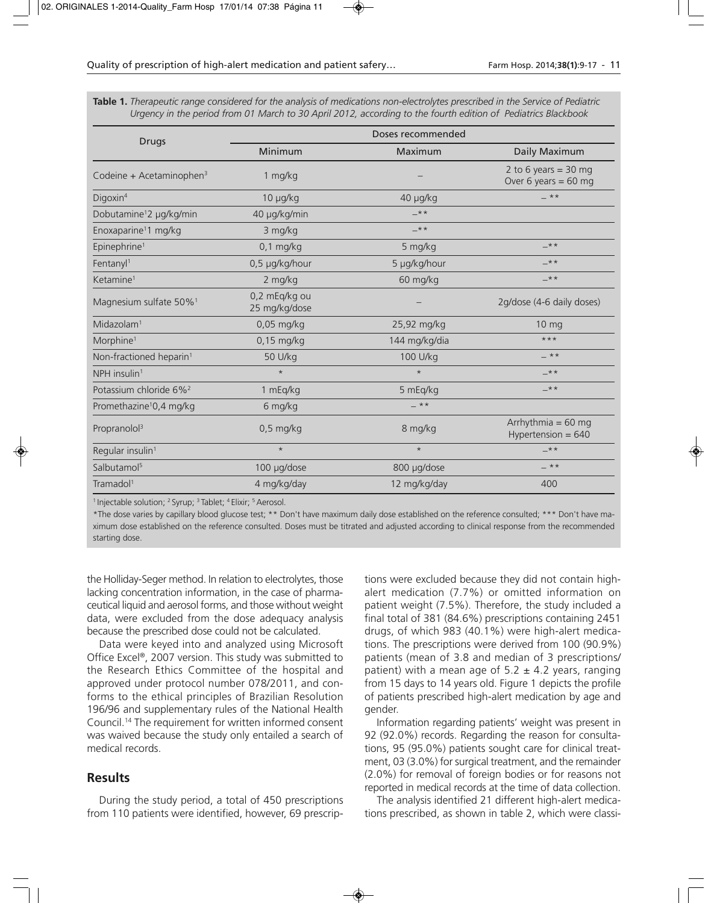| <b>Drugs</b>                         | Doses recommended              |               |                                                |  |
|--------------------------------------|--------------------------------|---------------|------------------------------------------------|--|
|                                      | Minimum                        | Maximum       | Daily Maximum                                  |  |
| Codeine + Acetaminophen <sup>3</sup> | 1 mg/kg                        |               | 2 to 6 years = 30 mg<br>Over 6 years = $60$ mg |  |
| Digoxin <sup>4</sup>                 | $10 \mu g/kg$                  | 40 µg/kg      | $***$                                          |  |
| Dobutamine <sup>1</sup> 2 µg/kg/min  | 40 µg/kg/min                   | $-***$        |                                                |  |
| Enoxaparine <sup>1</sup> 1 mg/kg     | 3 mg/kg                        | $-***$        |                                                |  |
| Epinephrine <sup>1</sup>             | $0,1$ mg/kg                    | 5 mg/kg       | $-***$                                         |  |
| Fentany $l1$                         | 0,5 µg/kg/hour                 | 5 µg/kg/hour  | $-***$                                         |  |
| Ketamine <sup>1</sup>                | 2 mg/kg                        | 60 mg/kg      | $-***$                                         |  |
| Magnesium sulfate 50% <sup>1</sup>   | 0,2 mEq/kg ou<br>25 mg/kg/dose |               | 2g/dose (4-6 daily doses)                      |  |
| Midazolam <sup>1</sup>               | 0,05 mg/kg                     | 25,92 mg/kg   | 10 mg                                          |  |
| Morphine <sup>1</sup>                | $0,15$ mg/kg                   | 144 mg/kg/dia | $***$                                          |  |
| Non-fractioned heparin <sup>1</sup>  | 50 U/kg                        | 100 U/kg      | $-***$                                         |  |
| NPH insulin <sup>1</sup>             | $\star$                        | $\star$       | $-***$                                         |  |
| Potassium chloride 6% <sup>2</sup>   | 1 mEq/kg                       | 5 mEq/kg      | $-***$                                         |  |
| Promethazine <sup>1</sup> 0,4 mg/kg  | 6 mg/kg                        | $-**$         |                                                |  |
| Propranolol <sup>3</sup>             | $0,5$ mg/kg                    | 8 mg/kg       | Arrhythmia = $60$ mg<br>Hypertension = $640$   |  |
| Regular insulin <sup>1</sup>         | $\star$                        | $\star$       | $-***$                                         |  |
| Salbutamol <sup>5</sup>              | 100 µg/dose                    | 800 µg/dose   | $***$                                          |  |
| Tramadol <sup>1</sup>                | 4 mg/kg/day                    | 12 mg/kg/day  | 400                                            |  |

**Table 1.** *Therapeutic range considered for the analysis of medications non-electrolytes prescribed in the Service of Pediatric Urgency in the period from 01 March to 30 April 2012, according to the fourth edition of Pediatrics Blackbook*

<sup>1</sup> Injectable solution; <sup>2</sup> Syrup; <sup>3</sup> Tablet; <sup>4</sup> Elixir; <sup>5</sup> Aerosol.

\*The dose varies by capillary blood glucose test; \*\* Don't have maximum daily dose established on the reference consulted; \*\*\* Don't have maximum dose established on the reference consulted. Doses must be titrated and adjusted according to clinical response from the recommended starting dose.

the Holliday-Seger method. In relation to electrolytes, those lacking concentration information, in the case of pharmaceutical liquid and aerosol forms, and those without weight data, were excluded from the dose adequacy analysis because the prescribed dose could not be calculated.

Data were keyed into and analyzed using Microsoft Office Excel®, 2007 version. This study was submitted to the Research Ethics Committee of the hospital and approved under protocol number 078/2011, and conforms to the ethical principles of Brazilian Resolution 196/96 and supplementary rules of the National Health Council.14 The requirement for written informed consent was waived because the study only entailed a search of medical records.

### **Results**

During the study period, a total of 450 prescriptions from 110 patients were identified, however, 69 prescriptions were excluded because they did not contain highalert medication (7.7%) or omitted information on patient weight (7.5%). Therefore, the study included a final total of 381 (84.6%) prescriptions containing 2451 drugs, of which 983 (40.1%) were high-alert medications. The prescriptions were derived from 100 (90.9%) patients (mean of 3.8 and median of 3 prescriptions/ patient) with a mean age of  $5.2 \pm 4.2$  years, ranging from 15 days to 14 years old. Figure 1 depicts the profile of patients prescribed high-alert medication by age and gender.

Information regarding patients' weight was present in 92 (92.0%) records. Regarding the reason for consultations, 95 (95.0%) patients sought care for clinical treatment, 03 (3.0%) for surgical treatment, and the remainder (2.0%) for removal of foreign bodies or for reasons not reported in medical records at the time of data collection.

The analysis identified 21 different high-alert medications prescribed, as shown in table 2, which were classi-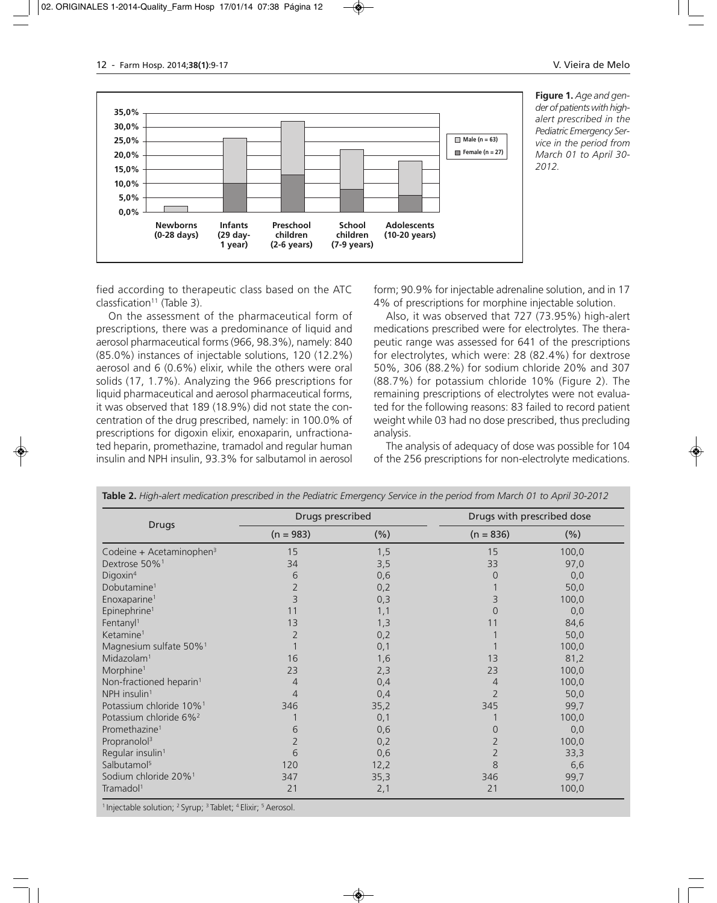

**Figure 1.** *Age and gen der of patients with highalert prescribed in the Pediatric Emergency Ser vice in the period from March 01 to April 30- 2012.*

fied according to therapeutic class based on the ATC classfication<sup>11</sup> (Table 3).

On the assessment of the pharmaceutical form of prescriptions, there was a predominance of liquid and aerosol pharmaceutical forms (966, 98.3%), namely: 840 (85.0%) instances of injectable solutions, 120 (12.2%) aerosol and 6 (0.6%) elixir, while the others were oral solids (17, 1.7%). Analyzing the 966 prescriptions for liquid pharmaceutical and aerosol pharmaceutical forms, it was observed that 189 (18.9%) did not state the concentration of the drug prescribed, namely: in 100.0% of prescriptions for digoxin elixir, enoxaparin, unfractionated heparin, promethazine, tramadol and regular human insulin and NPH insulin, 93.3% for salbutamol in aerosol

form; 90.9% for injectable adrenaline solution, and in 17 4% of prescriptions for morphine injectable solution.

Also, it was observed that 727 (73.95%) high-alert medications prescribed were for electrolytes. The therapeutic range was assessed for 641 of the prescriptions for electrolytes, which were: 28 (82.4%) for dextrose 50%, 306 (88.2%) for sodium chloride 20% and 307 (88.7%) for potassium chloride 10% (Figure 2). The remaining prescriptions of electrolytes were not evaluated for the following reasons: 83 failed to record patient weight while 03 had no dose prescribed, thus precluding analysis.

The analysis of adequacy of dose was possible for 104 of the 256 prescriptions for non-electrolyte medications.

| <b>Drugs</b>                         | Drugs prescribed |         |                | Drugs with prescribed dose |  |
|--------------------------------------|------------------|---------|----------------|----------------------------|--|
|                                      | $(n = 983)$      | $(\% )$ | $(n = 836)$    | $(\% )$                    |  |
| Codeine + Acetaminophen <sup>3</sup> | 15               | 1,5     | 15             | 100,0                      |  |
| Dextrose 50% <sup>1</sup>            | 34               | 3,5     | 33             | 97,0                       |  |
| Digoxin <sup>4</sup>                 | 6                | 0,6     | 0              | 0,0                        |  |
| Dobutamine <sup>1</sup>              |                  | 0,2     |                | 50,0                       |  |
| Enoxaparine <sup>1</sup>             | 3                | 0,3     | 3              | 100,0                      |  |
| Epinephrine <sup>1</sup>             | 11               | 1,1     | $\Omega$       | 0,0                        |  |
| Fentanyl <sup>1</sup>                | 13               | 1,3     | 11             | 84,6                       |  |
| Ketamine <sup>1</sup>                |                  | 0,2     |                | 50,0                       |  |
| Magnesium sulfate 50% <sup>1</sup>   |                  | 0,1     |                | 100,0                      |  |
| Midazolam <sup>1</sup>               | 16               | 1,6     | 13             | 81,2                       |  |
| Morphine <sup>1</sup>                | 23               | 2,3     | 23             | 100,0                      |  |
| Non-fractioned heparin <sup>1</sup>  | 4                | 0,4     | 4              | 100,0                      |  |
| NPH insulin <sup>1</sup>             | 4                | 0,4     | $\overline{2}$ | 50,0                       |  |
| Potassium chloride 10% <sup>1</sup>  | 346              | 35,2    | 345            | 99,7                       |  |
| Potassium chloride 6% <sup>2</sup>   |                  | 0,1     |                | 100,0                      |  |
| Promethazine <sup>1</sup>            | 6                | 0,6     | $\overline{0}$ | 0,0                        |  |
| Propranolol <sup>3</sup>             |                  | 0,2     | $\overline{2}$ | 100,0                      |  |
| Regular insulin <sup>1</sup>         | 6                | 0,6     | $\overline{2}$ | 33,3                       |  |
| Salbutamol <sup>5</sup>              | 120              | 12,2    | 8              | 6,6                        |  |
| Sodium chloride 20% <sup>1</sup>     | 347              | 35,3    | 346            | 99,7                       |  |
| Tramadol <sup>1</sup>                | 21               | 2,1     | 21             | 100,0                      |  |

**Table 2.** *High-alert medication prescribed in the Pediatric Emergency Service in the period from March 01 to April 30-2012*

<sup>1</sup> Injectable solution; <sup>2</sup> Syrup; <sup>3</sup> Tablet; <sup>4</sup> Elixir; <sup>5</sup> Aerosol.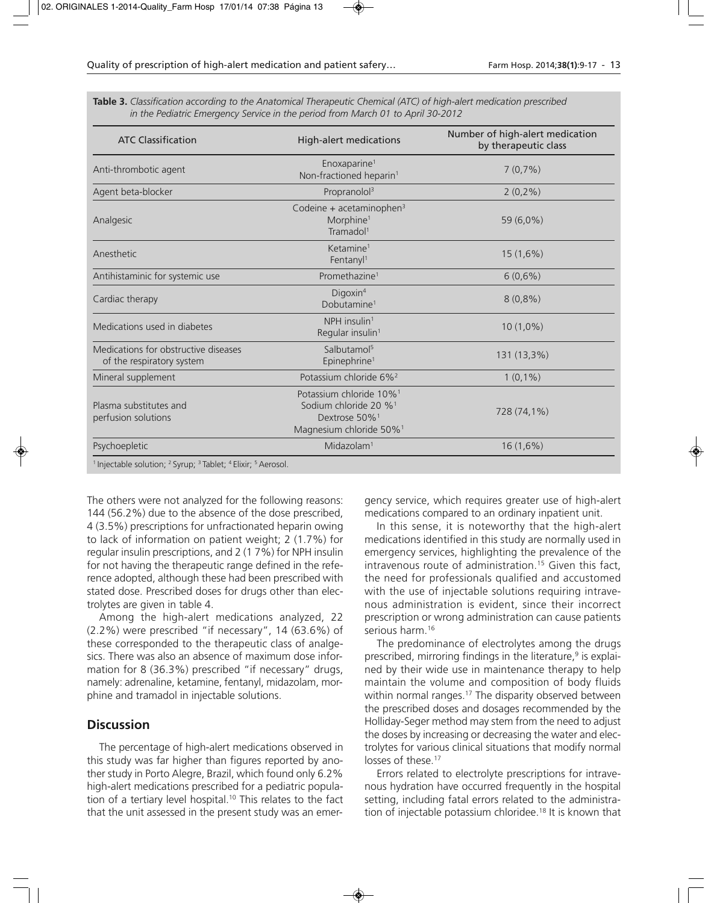| <b>ATC Classification</b>                                         | <b>High-alert medications</b>                                                                                                                | Number of high-alert medication<br>by therapeutic class |
|-------------------------------------------------------------------|----------------------------------------------------------------------------------------------------------------------------------------------|---------------------------------------------------------|
| Anti-thrombotic agent                                             | Enoxaparine <sup>1</sup><br>Non-fractioned heparin <sup>1</sup>                                                                              | $7(0,7\%)$                                              |
| Agent beta-blocker                                                | Propranolol <sup>3</sup>                                                                                                                     | $2(0,2\%)$                                              |
| Analgesic                                                         | Codeine + acetaminophen <sup>3</sup><br>Morphine <sup>1</sup><br>Tramadol <sup>1</sup>                                                       | 59 (6,0%)                                               |
| Anesthetic                                                        | Ketamine <sup>1</sup><br>Fentanyl <sup>1</sup>                                                                                               | $15(1,6\%)$                                             |
| Antihistaminic for systemic use                                   | Promethazine <sup>1</sup>                                                                                                                    | $6(0,6\%)$                                              |
| Cardiac therapy                                                   | Digoxin <sup>4</sup><br>Dobutamine <sup>1</sup>                                                                                              | $8(0,8\%)$                                              |
| Medications used in diabetes                                      | NPH insulin <sup>1</sup><br>Regular insulin <sup>1</sup>                                                                                     | $10(1,0\%)$                                             |
| Medications for obstructive diseases<br>of the respiratory system | Salbutamol <sup>5</sup><br>Epinephrine <sup>1</sup>                                                                                          | 131 (13,3%)                                             |
| Mineral supplement                                                | Potassium chloride 6% <sup>2</sup>                                                                                                           | $1(0,1\%)$                                              |
| Plasma substitutes and<br>perfusion solutions                     | Potassium chloride 10% <sup>1</sup><br>Sodium chloride 20 % <sup>1</sup><br>Dextrose 50% <sup>1</sup><br>Magnesium chloride 50% <sup>1</sup> | 728 (74,1%)                                             |
| Psychoepletic                                                     | Midazolam <sup>1</sup>                                                                                                                       | $16(1,6\%)$                                             |

**Table 3.** *Classification according to the Anatomical Therapeutic Chemical (ATC) of high-alert medication prescribed in the Pediatric Emergency Service in the period from March 01 to April 30-2012*

<sup>1</sup> Injectable solution; <sup>2</sup> Syrup; <sup>3</sup> Tablet; <sup>4</sup> Elixir; <sup>5</sup> Aerosol.

The others were not analyzed for the following reasons: 144 (56.2%) due to the absence of the dose prescribed, 4 (3.5%) prescriptions for unfractionated heparin owing to lack of information on patient weight; 2 (1.7%) for regular insulin prescriptions, and 2 (1 7%) for NPH insulin for not having the therapeutic range defined in the reference adopted, although these had been prescribed with stated dose. Prescribed doses for drugs other than electrolytes are given in table 4.

Among the high-alert medications analyzed, 22 (2.2%) were prescribed "if necessary", 14 (63.6%) of these corresponded to the therapeutic class of analgesics. There was also an absence of maximum dose information for 8 (36.3%) prescribed "if necessary" drugs, namely: adrenaline, ketamine, fentanyl, midazolam, morphine and tramadol in injectable solutions.

### **Discussion**

The percentage of high-alert medications observed in this study was far higher than figures reported by another study in Porto Alegre, Brazil, which found only 6.2% high-alert medications prescribed for a pediatric population of a tertiary level hospital.<sup>10</sup> This relates to the fact that the unit assessed in the present study was an emergency service, which requires greater use of high-alert medications compared to an ordinary inpatient unit.

In this sense, it is noteworthy that the high-alert medications identified in this study are normally used in emergency services, highlighting the prevalence of the intravenous route of administration.<sup>15</sup> Given this fact, the need for professionals qualified and accustomed with the use of injectable solutions requiring intravenous administration is evident, since their incorrect prescription or wrong administration can cause patients serious harm.<sup>16</sup>

The predominance of electrolytes among the drugs prescribed, mirroring findings in the literature, $9$  is explained by their wide use in maintenance therapy to help maintain the volume and composition of body fluids within normal ranges.<sup>17</sup> The disparity observed between the prescribed doses and dosages recommended by the Holliday-Seger method may stem from the need to adjust the doses by increasing or decreasing the water and electrolytes for various clinical situations that modify normal losses of these.<sup>17</sup>

Errors related to electrolyte prescriptions for intravenous hydration have occurred frequently in the hospital setting, including fatal errors related to the administration of injectable potassium chloridee.<sup>18</sup> It is known that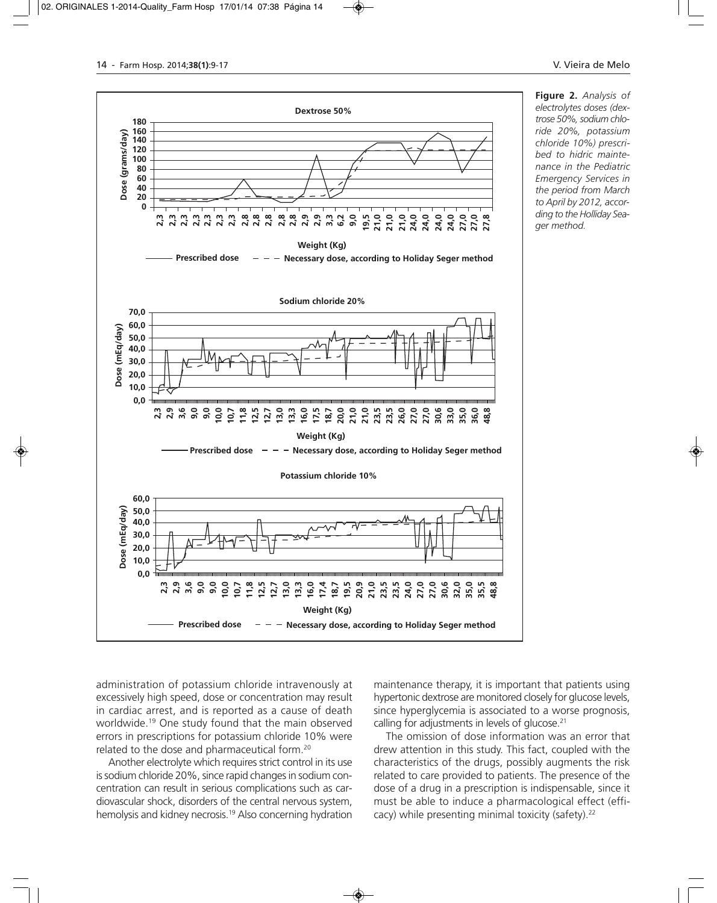

**Figure 2.** *Analysis of electrolytes doses (dextrose 50%, sodium chlo ride 20%, potassium chloride 10%) prescribed to hidric maintenance in the Pediatric Emergency Services in the period from March to April by 2012, according to the Holliday Sea ger method.*

administration of potassium chloride intravenously at excessively high speed, dose or concentration may result in cardiac arrest, and is reported as a cause of death worldwide.19 One study found that the main observed errors in prescriptions for potassium chloride 10% were related to the dose and pharmaceutical form.20

Another electrolyte which requires strict control in its use is sodium chloride 20%, since rapid changes in sodium concentration can result in serious complications such as cardiovascular shock, disorders of the central nervous system, hemolysis and kidney necrosis.19 Also concerning hydration maintenance therapy, it is important that patients using hypertonic dextrose are monitored closely for glucose levels, since hyperglycemia is associated to a worse prognosis, calling for adjustments in levels of glucose.<sup>21</sup>

The omission of dose information was an error that drew attention in this study. This fact, coupled with the characteristics of the drugs, possibly augments the risk related to care provided to patients. The presence of the dose of a drug in a prescription is indispensable, since it must be able to induce a pharmacological effect (efficacy) while presenting minimal toxicity (safety).22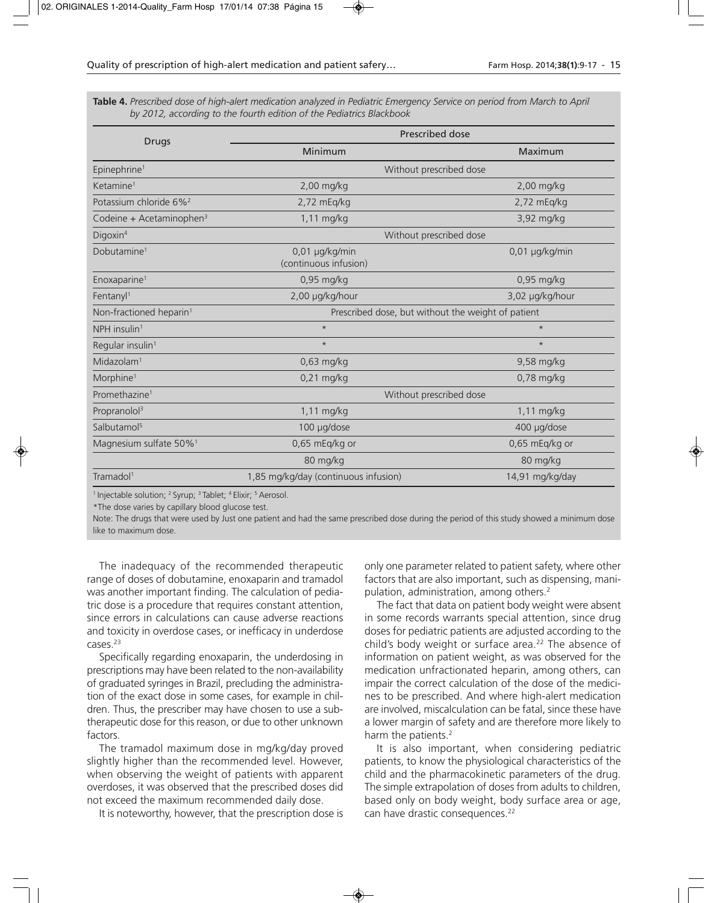**Table 4.** *Prescribed dose of high-alert medication analyzed in Pediatric Emergency Service on period from March to April by 2012, according to the fourth edition of the Pediatrics Blackbook*

| <b>Drugs</b>                         | Prescribed dose                                    |                 |  |
|--------------------------------------|----------------------------------------------------|-----------------|--|
|                                      | Minimum                                            | Maximum         |  |
| Epinephrine <sup>1</sup>             | Without prescribed dose                            |                 |  |
| Ketamine <sup>1</sup>                | 2,00 mg/kg                                         | 2,00 mg/kg      |  |
| Potassium chloride 6% <sup>2</sup>   | $2,72$ mEq/kg                                      | $2,72$ mEq/kg   |  |
| Codeine + Acetaminophen <sup>3</sup> | $1,11$ mg/kg                                       | 3,92 mg/kg      |  |
| Digoxin <sup>4</sup>                 | Without prescribed dose                            |                 |  |
| Dobutamine <sup>1</sup>              | 0,01 µg/kg/min<br>(continuous infusion)            | 0,01 µg/kg/min  |  |
| Enoxaparine <sup>1</sup>             | 0,95 mg/kg                                         | 0,95 mg/kg      |  |
| Fentanyl <sup>1</sup>                | 2,00 µg/kg/hour<br>3,02 µg/kg/hour                 |                 |  |
| Non-fractioned heparin <sup>1</sup>  | Prescribed dose, but without the weight of patient |                 |  |
| NPH insulin <sup>1</sup>             | $\star$                                            | $\star$         |  |
| Regular insulin <sup>1</sup>         | $\star$                                            | $\star$         |  |
| Midazolam <sup>1</sup>               | $0,63$ mg/kg                                       | 9,58 mg/kg      |  |
| Morphine <sup>1</sup>                | $0,21$ mg/kg                                       | $0.78$ mg/kg    |  |
| Promethazine <sup>1</sup>            | Without prescribed dose                            |                 |  |
| Propranolol <sup>3</sup>             | 1,11 mg/kg                                         | 1,11 mg/kg      |  |
| Salbutamol <sup>5</sup>              | 100 µg/dose                                        | 400 µg/dose     |  |
| Magnesium sulfate 50% <sup>1</sup>   | 0,65 mEq/kg or                                     | 0,65 mEq/kg or  |  |
|                                      | 80 mg/kg                                           | 80 mg/kg        |  |
| Tramadol <sup>1</sup>                | 1,85 mg/kg/day (continuous infusion)               | 14,91 mg/kg/day |  |

<sup>1</sup> Injectable solution; <sup>2</sup> Syrup; <sup>3</sup> Tablet; <sup>4</sup> Elixir; <sup>5</sup> Aerosol.

\*The dose varies by capillary blood glucose test.

Note: The drugs that were used by Just one patient and had the same prescribed dose during the period of this study showed a minimum dose like to maximum dose.

The inadequacy of the recommended therapeutic range of doses of dobutamine, enoxaparin and tramadol was another important finding. The calculation of pediatric dose is a procedure that requires constant attention, since errors in calculations can cause adverse reactions and toxicity in overdose cases, or inefficacy in underdose cases.<sup>23</sup>

Specifically regarding enoxaparin, the underdosing in prescriptions may have been related to the non-availability of graduated syringes in Brazil, precluding the administration of the exact dose in some cases, for example in children. Thus, the prescriber may have chosen to use a subtherapeutic dose for this reason, or due to other unknown factors.

The tramadol maximum dose in mg/kg/day proved slightly higher than the recommended level. However, when observing the weight of patients with apparent overdoses, it was observed that the prescribed doses did not exceed the maximum recommended daily dose.

It is noteworthy, however, that the prescription dose is

only one parameter related to patient safety, where other factors that are also important, such as dispensing, manipulation, administration, among others.<sup>2</sup>

The fact that data on patient body weight were absent in some records warrants special attention, since drug doses for pediatric patients are adjusted according to the child's body weight or surface area.<sup>22</sup> The absence of information on patient weight, as was observed for the medication unfractionated heparin, among others, can impair the correct calculation of the dose of the medicines to be prescribed. And where high-alert medication are involved, miscalculation can be fatal, since these have a lower margin of safety and are therefore more likely to harm the patients.<sup>2</sup>

It is also important, when considering pediatric patients, to know the physiological characteristics of the child and the pharmacokinetic parameters of the drug. The simple extrapolation of doses from adults to children, based only on body weight, body surface area or age, can have drastic consequences.<sup>22</sup>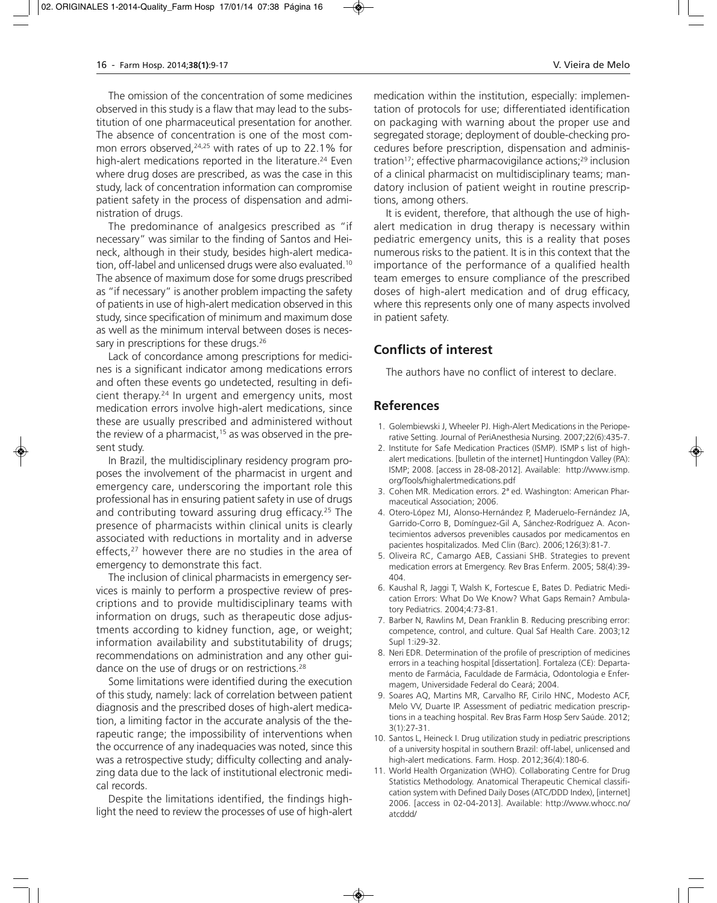The omission of the concentration of some medicines observed in this study is a flaw that may lead to the substitution of one pharmaceutical presentation for another. The absence of concentration is one of the most common errors observed, $24,25$  with rates of up to 22.1% for high-alert medications reported in the literature.<sup>24</sup> Even where drug doses are prescribed, as was the case in this study, lack of concentration information can compromise patient safety in the process of dispensation and administration of drugs.

The predominance of analgesics prescribed as "if necessary" was similar to the finding of Santos and Heineck, although in their study, besides high-alert medication, off-label and unlicensed drugs were also evaluated.<sup>10</sup> The absence of maximum dose for some drugs prescribed as "if necessary" is another problem impacting the safety of patients in use of high-alert medication observed in this study, since specification of minimum and maximum dose as well as the minimum interval between doses is necessary in prescriptions for these drugs.<sup>26</sup>

Lack of concordance among prescriptions for medicines is a significant indicator among medications errors and often these events go undetected, resulting in deficient therapy.24 In urgent and emergency units, most medication errors involve high-alert medications, since these are usually prescribed and administered without the review of a pharmacist,<sup>15</sup> as was observed in the present study.

In Brazil, the multidisciplinary residency program proposes the involvement of the pharmacist in urgent and emergency care, underscoring the important role this professional has in ensuring patient safety in use of drugs and contributing toward assuring drug efficacy.<sup>25</sup> The presence of pharmacists within clinical units is clearly associated with reductions in mortality and in adverse effects,<sup>27</sup> however there are no studies in the area of emergency to demonstrate this fact.

The inclusion of clinical pharmacists in emergency services is mainly to perform a prospective review of prescriptions and to provide multidisciplinary teams with information on drugs, such as therapeutic dose adjustments according to kidney function, age, or weight; information availability and substitutability of drugs; recommendations on administration and any other guidance on the use of drugs or on restrictions.<sup>28</sup>

Some limitations were identified during the execution of this study, namely: lack of correlation between patient diagnosis and the prescribed doses of high-alert medication, a limiting factor in the accurate analysis of the therapeutic range; the impossibility of interventions when the occurrence of any inadequacies was noted, since this was a retrospective study; difficulty collecting and analyzing data due to the lack of institutional electronic medical records.

Despite the limitations identified, the findings highlight the need to review the processes of use of high-alert medication within the institution, especially: implementation of protocols for use; differentiated identification on packaging with warning about the proper use and segregated storage; deployment of double-checking procedures before prescription, dispensation and administration<sup>17</sup>; effective pharmacovigilance actions;<sup>29</sup> inclusion of a clinical pharmacist on multidisciplinary teams; mandatory inclusion of patient weight in routine prescriptions, among others.

It is evident, therefore, that although the use of highalert medication in drug therapy is necessary within pediatric emergency units, this is a reality that poses numerous risks to the patient. It is in this context that the importance of the performance of a qualified health team emerges to ensure compliance of the prescribed doses of high-alert medication and of drug efficacy, where this represents only one of many aspects involved in patient safety.

# **Conflicts of interest**

The authors have no conflict of interest to declare.

## **References**

- 1. Golembiewski J, Wheeler PJ. High-Alert Medications in the Perioperative Setting. Journal of PeriAnesthesia Nursing. 2007;22(6):435-7.
- 2. Institute for Safe Medication Practices (ISMP). ISMP s list of highalert medications. [bulletin of the internet] Huntingdon Valley (PA): ISMP; 2008. [access in 28-08-2012]. Available: http://www.ismp. org/Tools/highalertmedications.pdf
- 3. Cohen MR. Medication errors. 2ª ed. Washington: American Pharmaceutical Association; 2006.
- 4. Otero-López MJ, Alonso-Hernández P, Maderuelo-Fernández JA, Garrido-Corro B, Domínguez-Gil A, Sánchez-Rodríguez A. Acontecimientos adversos prevenibles causados por medicamentos en pacientes hospitalizados. Med Clin (Barc). 2006;126(3):81-7.
- 5. Oliveira RC, Camargo AEB, Cassiani SHB. Strategies to prevent medication errors at Emergency. Rev Bras Enferm. 2005; 58(4):39- 404.
- 6. Kaushal R, Jaggi T, Walsh K, Fortescue E, Bates D. Pediatric Medication Errors: What Do We Know? What Gaps Remain? Ambulatory Pediatrics. 2004;4:73-81.
- 7. Barber N, Rawlins M, Dean Franklin B. Reducing prescribing error: competence, control, and culture. Qual Saf Health Care. 2003;12 Supl 1:i29-32.
- 8. Neri EDR. Determination of the profile of prescription of medicines errors in a teaching hospital [dissertation]. Fortaleza (CE): Departamento de Farmácia, Faculdade de Farmácia, Odontologia e Enfermagem, Universidade Federal do Ceará; 2004.
- 9. Soares AQ, Martins MR, Carvalho RF, Cirilo HNC, Modesto ACF, Melo VV, Duarte IP. Assessment of pediatric medication prescriptions in a teaching hospital. Rev Bras Farm Hosp Serv Saúde. 2012; 3(1):27-31.
- 10. Santos L, Heineck I. Drug utilization study in pediatric prescriptions of a university hospital in southern Brazil: off-label, unlicensed and high-alert medications. Farm. Hosp. 2012;36(4):180-6.
- 11. World Health Organization (WHO). Collaborating Centre for Drug Statistics Methodology. Anatomical Therapeutic Chemical classification system with Defined Daily Doses (ATC/DDD Index), [internet] 2006. [access in 02-04-2013]. Available: http://www.whocc.no/ atcddd/